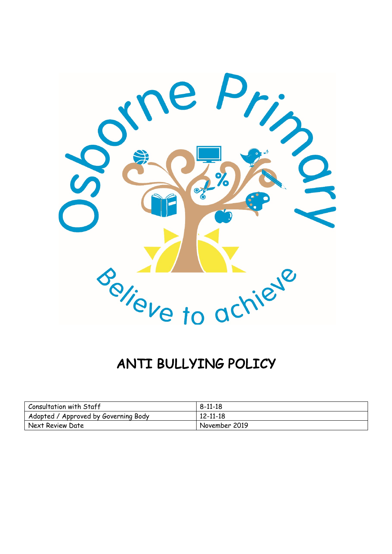

# ANTI BULLYING POLICY

| Consultation with Staff              | 8-11-18        |
|--------------------------------------|----------------|
| Adopted / Approved by Governing Body | $12 - 11 - 18$ |
| Next Review Date                     | November 2019  |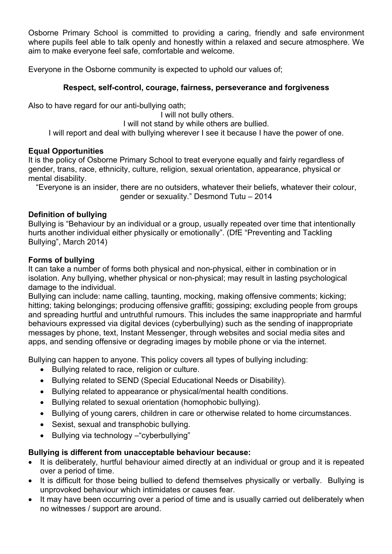Osborne Primary School is committed to providing a caring, friendly and safe environment where pupils feel able to talk openly and honestly within a relaxed and secure atmosphere. We aim to make everyone feel safe, comfortable and welcome.

Everyone in the Osborne community is expected to uphold our values of;

#### **Respect, self-control, courage, fairness, perseverance and forgiveness**

Also to have regard for our anti-bullying oath;

I will not bully others. I will not stand by while others are bullied. I will report and deal with bullying wherever I see it because I have the power of one.

#### **Equal Opportunities**

It is the policy of Osborne Primary School to treat everyone equally and fairly regardless of gender, trans, race, ethnicity, culture, religion, sexual orientation, appearance, physical or mental disability.

"Everyone is an insider, there are no outsiders, whatever their beliefs, whatever their colour, gender or sexuality." Desmond Tutu – 2014

#### **Definition of bullying**

Bullying is "Behaviour by an individual or a group, usually repeated over time that intentionally hurts another individual either physically or emotionally". (DfE "Preventing and Tackling Bullying", March 2014)

#### **Forms of bullying**

It can take a number of forms both physical and non-physical, either in combination or in isolation. Any bullying, whether physical or non-physical; may result in lasting psychological damage to the individual.

Bullying can include: name calling, taunting, mocking, making offensive comments; kicking; hitting; taking belongings; producing offensive graffiti; gossiping; excluding people from groups and spreading hurtful and untruthful rumours. This includes the same inappropriate and harmful behaviours expressed via digital devices (cyberbullying) such as the sending of inappropriate messages by phone, text, Instant Messenger, through websites and social media sites and apps, and sending offensive or degrading images by mobile phone or via the internet.

Bullying can happen to anyone. This policy covers all types of bullying including:

- Bullying related to race, religion or culture.
- Bullying related to SEND (Special Educational Needs or Disability).
- Bullying related to appearance or physical/mental health conditions.
- Bullying related to sexual orientation (homophobic bullying).
- Bullying of young carers, children in care or otherwise related to home circumstances.
- Sexist, sexual and transphobic bullying.
- Bullying via technology –"cyberbullying"

#### **Bullying is different from unacceptable behaviour because:**

- It is deliberately, hurtful behaviour aimed directly at an individual or group and it is repeated over a period of time.
- It is difficult for those being bullied to defend themselves physically or verbally. Bullying is unprovoked behaviour which intimidates or causes fear.
- It may have been occurring over a period of time and is usually carried out deliberately when no witnesses / support are around.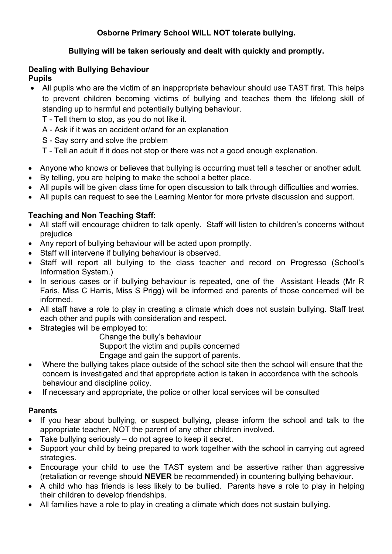# **Osborne Primary School WILL NOT tolerate bullying.**

# **Bullying will be taken seriously and dealt with quickly and promptly.**

# **Dealing with Bullying Behaviour**

#### **Pupils**

- All pupils who are the victim of an inappropriate behaviour should use TAST first. This helps to prevent children becoming victims of bullying and teaches them the lifelong skill of standing up to harmful and potentially bullying behaviour.
	- T Tell them to stop, as you do not like it.
	- A Ask if it was an accident or/and for an explanation
	- S Say sorry and solve the problem
	- T Tell an adult if it does not stop or there was not a good enough explanation.
- Anyone who knows or believes that bullying is occurring must tell a teacher or another adult.
- By telling, you are helping to make the school a better place.
- All pupils will be given class time for open discussion to talk through difficulties and worries.
- All pupils can request to see the Learning Mentor for more private discussion and support.

#### **Teaching and Non Teaching Staff:**

- All staff will encourage children to talk openly. Staff will listen to children's concerns without prejudice
- Any report of bullying behaviour will be acted upon promptly.
- Staff will intervene if bullying behaviour is observed.
- Staff will report all bullying to the class teacher and record on Progresso (School's Information System.)
- In serious cases or if bullying behaviour is repeated, one of the Assistant Heads (Mr R Faris, Miss C Harris, Miss S Prigg) will be informed and parents of those concerned will be informed.
- All staff have a role to play in creating a climate which does not sustain bullying. Staff treat each other and pupils with consideration and respect.
- Strategies will be employed to:
	- Change the bully's behaviour

Support the victim and pupils concerned

Engage and gain the support of parents.

- Where the bullying takes place outside of the school site then the school will ensure that the concern is investigated and that appropriate action is taken in accordance with the schools behaviour and discipline policy.
- If necessary and appropriate, the police or other local services will be consulted

#### **Parents**

- If you hear about bullying, or suspect bullying, please inform the school and talk to the appropriate teacher, NOT the parent of any other children involved.
- Take bullying seriously do not agree to keep it secret.
- Support your child by being prepared to work together with the school in carrying out agreed strategies.
- Encourage your child to use the TAST system and be assertive rather than aggressive (retaliation or revenge should **NEVER** be recommended) in countering bullying behaviour.
- A child who has friends is less likely to be bullied. Parents have a role to play in helping their children to develop friendships.
- All families have a role to play in creating a climate which does not sustain bullying.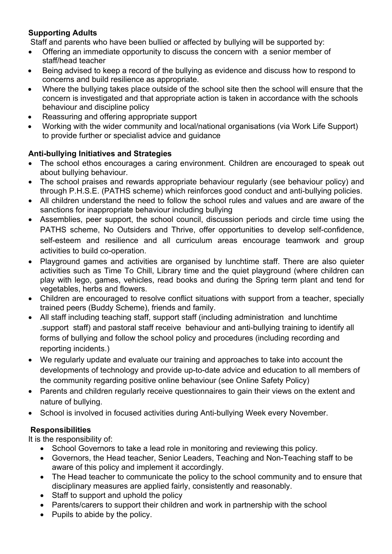# **Supporting Adults**

Staff and parents who have been bullied or affected by bullying will be supported by:

- Offering an immediate opportunity to discuss the concern with a senior member of staff/head teacher
- Being advised to keep a record of the bullying as evidence and discuss how to respond to concerns and build resilience as appropriate.
- Where the bullying takes place outside of the school site then the school will ensure that the concern is investigated and that appropriate action is taken in accordance with the schools behaviour and discipline policy
- Reassuring and offering appropriate support
- Working with the wider community and local/national organisations (via Work Life Support) to provide further or specialist advice and guidance

#### **Anti-bullying Initiatives and Strategies**

- The school ethos encourages a caring environment. Children are encouraged to speak out about bullying behaviour.
- The school praises and rewards appropriate behaviour regularly (see behaviour policy) and through P.H.S.E. (PATHS scheme) which reinforces good conduct and anti-bullying policies.
- All children understand the need to follow the school rules and values and are aware of the sanctions for inappropriate behaviour including bullying
- Assemblies, peer support, the school council, discussion periods and circle time using the PATHS scheme, No Outsiders and Thrive, offer opportunities to develop self-confidence, self-esteem and resilience and all curriculum areas encourage teamwork and group activities to build co-operation.
- Playground games and activities are organised by lunchtime staff. There are also quieter activities such as Time To Chill, Library time and the quiet playground (where children can play with lego, games, vehicles, read books and during the Spring term plant and tend for vegetables, herbs and flowers.
- Children are encouraged to resolve conflict situations with support from a teacher, specially trained peers (Buddy Scheme), friends and family.
- All staff including teaching staff, support staff (including administration and lunchtime .support staff) and pastoral staff receive behaviour and anti-bullying training to identify all forms of bullying and follow the school policy and procedures (including recording and reporting incidents.)
- We regularly update and evaluate our training and approaches to take into account the developments of technology and provide up-to-date advice and education to all members of the community regarding positive online behaviour (see Online Safety Policy)
- Parents and children regularly receive questionnaires to gain their views on the extent and nature of bullying.
- School is involved in focused activities during Anti-bullying Week every November.

# **Responsibilities**

It is the responsibility of:

- School Governors to take a lead role in monitoring and reviewing this policy.
- Governors, the Head teacher, Senior Leaders, Teaching and Non-Teaching staff to be aware of this policy and implement it accordingly.
- The Head teacher to communicate the policy to the school community and to ensure that disciplinary measures are applied fairly, consistently and reasonably.
- Staff to support and uphold the policy
- Parents/carers to support their children and work in partnership with the school
- Pupils to abide by the policy.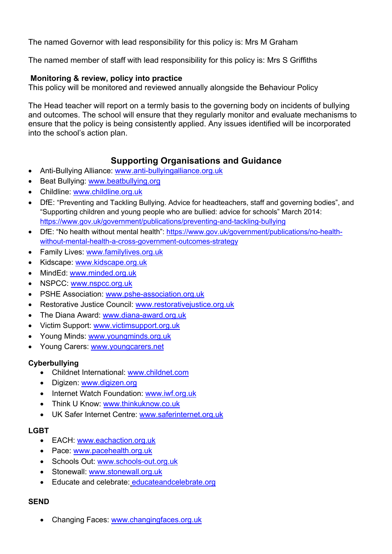The named Governor with lead responsibility for this policy is: Mrs M Graham

The named member of staff with lead responsibility for this policy is: Mrs S Griffiths

#### **Monitoring & review, policy into practice**

This policy will be monitored and reviewed annually alongside the Behaviour Policy

The Head teacher will report on a termly basis to the governing body on incidents of bullying and outcomes. The school will ensure that they regularly monitor and evaluate mechanisms to ensure that the policy is being consistently applied. Any issues identified will be incorporated into the school's action plan.

# **Supporting Organisations and Guidance**

- Anti-Bullying Alliance: www.anti-bullyingalliance.org.uk
- Beat Bullying: www.beatbullying.org
- Childline: www.childline.org.uk
- DfE: "Preventing and Tackling Bullying. Advice for headteachers, staff and governing bodies", and "Supporting children and young people who are bullied: advice for schools" March 2014: https://www.gov.uk/government/publications/preventing-and-tackling-bullying
- DfE: "No health without mental health": https://www.gov.uk/government/publications/no-healthwithout-mental-health-a-cross-government-outcomes-strategy
- Family Lives: www.familylives.org.uk
- Kidscape: www.kidscape.org.uk
- MindEd: www.minded.org.uk
- NSPCC: www.nspcc.org.uk
- PSHE Association: www.pshe-association.org.uk
- Restorative Justice Council: www.restorativejustice.org.uk
- The Diana Award: www.diana-award.org.uk
- Victim Support: www.victimsupport.org.uk
- Young Minds: www.youngminds.org.uk
- Young Carers: www.youngcarers.net

# **Cyberbullying**

- Childnet International: www.childnet.com
- Digizen: www.digizen.org
- Internet Watch Foundation: www.iwf.org.uk
- Think U Know: www.thinkuknow.co.uk
- UK Safer Internet Centre: www.saferinternet.org.uk

#### **LGBT**

- EACH: www.eachaction.org.uk
- Pace: www.pacehealth.org.uk
- Schools Out: www.schools-out.org.uk
- Stonewall: www.stonewall.org.uk
- Educate and celebrate: educateandcelebrate.org

# **SEND**

Changing Faces: www.changingfaces.org.uk